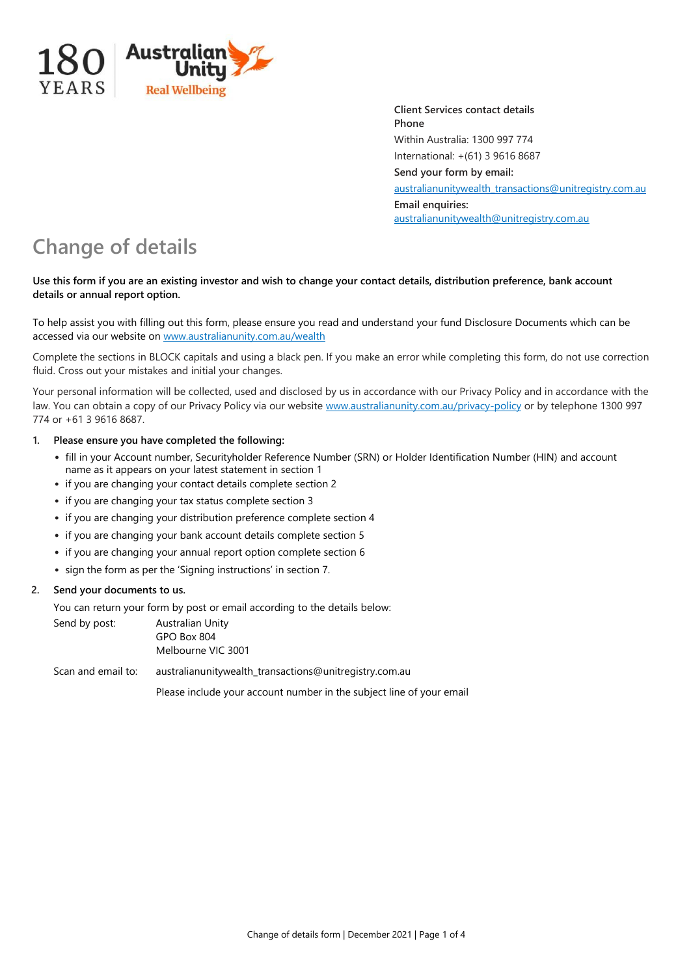

**Client Services contact details Phone** Within Australia: 1300 997 774 International: +(61) 3 9616 8687 **Send your form by email:** [australianunitywealth\\_transactions@unitregistry.com.au](mailto:australianunitywealth_transactions@unitregistry.com.au) **Email enquiries:** [australianunitywealth@unitregistry.com.au](mailto:australianunitywealth@unitregistry.com.au)

# **Change of details**

## **Use this form if you are an existing investor and wish to change your contact details, distribution preference, bank account details or annual report option.**

To help assist you with filling out this form, please ensure you read and understand your fund Disclosure Documents which can be accessed via our website on [www.australianunity.com.au/wealth](http://www.australianunity.com.au/wealth)

Complete the sections in BLOCK capitals and using a black pen. If you make an error while completing this form, do not use correction fluid. Cross out your mistakes and initial your changes.

Your personal information will be collected, used and disclosed by us in accordance with our Privacy Policy and in accordance with the law. You can obtain a copy of our Privacy Policy via our website [www.australianunity.com.au/privacy-policy o](http://www.australianunity.com.au/privacy-policy)r by telephone 1300 997 774 or +61 3 9616 8687.

## **1. Please ensure you have completed the following:**

- fill in your Account number, Securityholder Reference Number (SRN) or Holder Identification Number (HIN) and account name as it appears on your latest statement in section 1
- if you are changing your contact details complete section 2
- if you are changing your tax status complete section 3
- if you are changing your distribution preference complete section 4
- if you are changing your bank account details complete section 5
- if you are changing your annual report option complete section 6
- sign the form as per the 'Signing instructions' in section 7.

# **2. Send your documents to us.**

You can return your form by post or email according to the details below:

| Send by post:      | Australian Unity<br>GPO Box 804<br>Melbourne VIC 3001                |  |
|--------------------|----------------------------------------------------------------------|--|
| Scan and email to: | australianunitywealth_transactions@unitregistry.com.au               |  |
|                    | Please include your account number in the subject line of your email |  |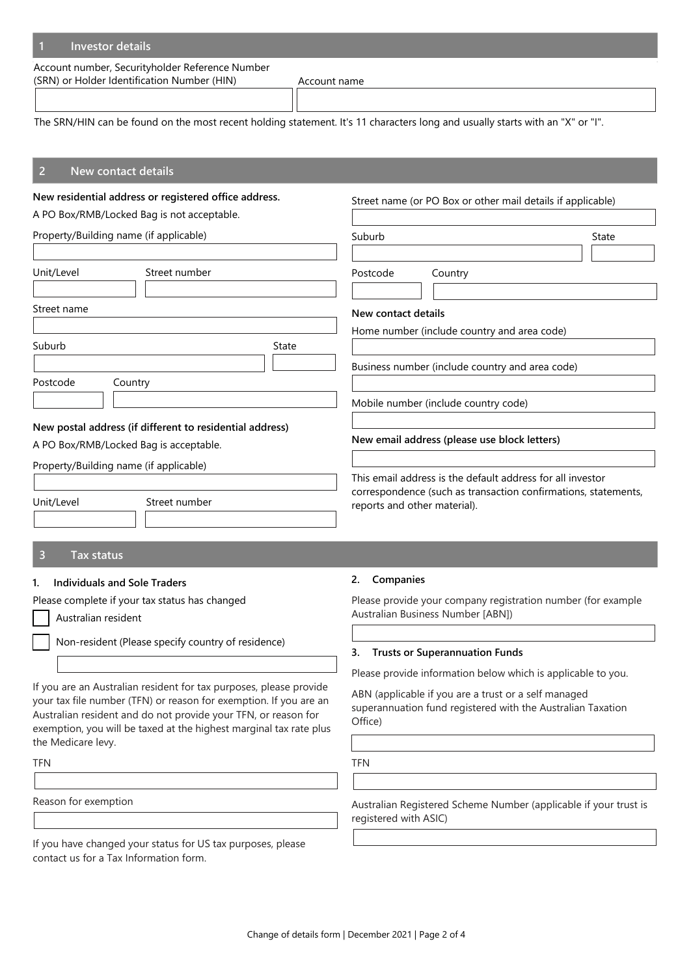## **1 Investor details**

Account number, Securityholder Reference Number (SRN) or Holder Identification Number (HIN) Account name

The SRN/HIN can be found on the most recent holding statement. It's 11 characters long and usually starts with an "X" or "I".

#### **2 New contact details**

#### **New residential address or registered office address.**

A PO Box/RMB/Locked Bag is not acceptable.

| Property/Building name (if applicable) |                                                          | Suburb |                                              | State                                           |  |
|----------------------------------------|----------------------------------------------------------|--------|----------------------------------------------|-------------------------------------------------|--|
| Unit/Level                             | Street number                                            |        | Postcode                                     | Country                                         |  |
| Street name                            |                                                          |        | New contact details                          | Home number (include country and area code)     |  |
| Suburb                                 |                                                          | State  |                                              |                                                 |  |
|                                        |                                                          |        |                                              | Business number (include country and area code) |  |
| Postcode                               | Country                                                  |        |                                              |                                                 |  |
|                                        |                                                          |        |                                              | Mobile number (include country code)            |  |
|                                        | New postal address (if different to residential address) |        |                                              |                                                 |  |
| A PO Box/RMB/Locked Bag is acceptable. |                                                          |        | New email address (please use block letters) |                                                 |  |
|                                        | Property/Building name (if applicable)                   |        |                                              |                                                 |  |

This email address is the default address for all investor correspondence (such as transaction confirmations, statements, reports and other material).

Street name (or PO Box or other mail details if applicable)

#### **3 Tax status**

## **1. Individuals and Sole Traders**

Unit/Level Street number

Please complete if your tax status has changed

Australian resident

Non-resident (Please specify country of residence)

If you are an Australian resident for tax purposes, please provide your tax file number (TFN) or reason for exemption. If you are an Australian resident and do not provide your TFN, or reason for exemption, you will be taxed at the highest marginal tax rate plus the Medicare levy.

TFN

Reason for exemption

If you have changed your status for US tax purposes, please contact us for a Tax Information form.

#### **2. Companies**

Please provide your company registration number (for example Australian Business Number [ABN])

#### **3. Trusts or Superannuation Funds**

Please provide information below which is applicable to you.

ABN (applicable if you are a trust or a self managed superannuation fund registered with the Australian Taxation Office)

TFN

Australian Registered Scheme Number (applicable if your trust is registered with ASIC)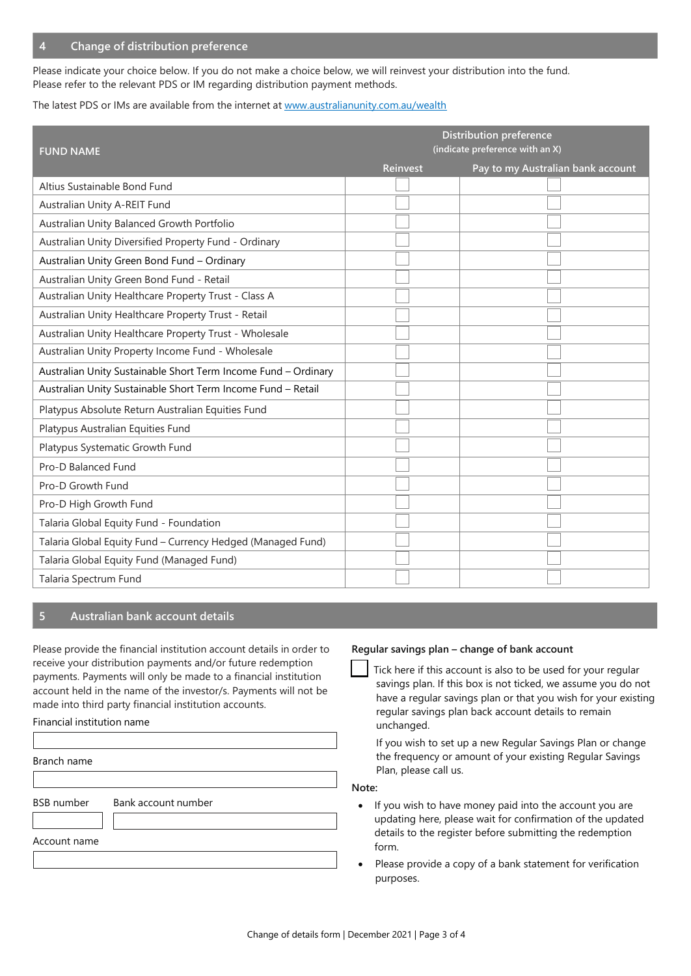Please indicate your choice below. If you do not make a choice below, we will reinvest your distribution into the fund. Please refer to the relevant PDS or IM regarding distribution payment methods.

### The latest PDS or IMs are available from the internet at [www.australianunity.com.au/wealth](http://www.australianunity.com.au/wealth)

| <b>FUND NAME</b>                                               | <b>Distribution preference</b><br>(indicate preference with an X) |                                   |  |  |
|----------------------------------------------------------------|-------------------------------------------------------------------|-----------------------------------|--|--|
|                                                                | <b>Reinvest</b>                                                   | Pay to my Australian bank account |  |  |
| Altius Sustainable Bond Fund                                   |                                                                   |                                   |  |  |
| Australian Unity A-REIT Fund                                   |                                                                   |                                   |  |  |
| Australian Unity Balanced Growth Portfolio                     |                                                                   |                                   |  |  |
| Australian Unity Diversified Property Fund - Ordinary          |                                                                   |                                   |  |  |
| Australian Unity Green Bond Fund - Ordinary                    |                                                                   |                                   |  |  |
| Australian Unity Green Bond Fund - Retail                      |                                                                   |                                   |  |  |
| Australian Unity Healthcare Property Trust - Class A           |                                                                   |                                   |  |  |
| Australian Unity Healthcare Property Trust - Retail            |                                                                   |                                   |  |  |
| Australian Unity Healthcare Property Trust - Wholesale         |                                                                   |                                   |  |  |
| Australian Unity Property Income Fund - Wholesale              |                                                                   |                                   |  |  |
| Australian Unity Sustainable Short Term Income Fund - Ordinary |                                                                   |                                   |  |  |
| Australian Unity Sustainable Short Term Income Fund - Retail   |                                                                   |                                   |  |  |
| Platypus Absolute Return Australian Equities Fund              |                                                                   |                                   |  |  |
| Platypus Australian Equities Fund                              |                                                                   |                                   |  |  |
| Platypus Systematic Growth Fund                                |                                                                   |                                   |  |  |
| Pro-D Balanced Fund                                            |                                                                   |                                   |  |  |
| Pro-D Growth Fund                                              |                                                                   |                                   |  |  |
| Pro-D High Growth Fund                                         |                                                                   |                                   |  |  |
| Talaria Global Equity Fund - Foundation                        |                                                                   |                                   |  |  |
| Talaria Global Equity Fund - Currency Hedged (Managed Fund)    |                                                                   |                                   |  |  |
| Talaria Global Equity Fund (Managed Fund)                      |                                                                   |                                   |  |  |
| Talaria Spectrum Fund                                          |                                                                   |                                   |  |  |

# **5 Australian bank account details**

Please provide the financial institution account details in order to receive your distribution payments and/or future redemption payments. Payments will only be made to a financial institution account held in the name of the investor/s. Payments will not be made into third party financial institution accounts.

#### Financial institution name

Branch name

BSB number Bank account number

Account name

## **Regular savings plan – change of bank account**

Tick here if this account is also to be used for your regular savings plan. If this box is not ticked, we assume you do not have a regular savings plan or that you wish for your existing regular savings plan back account details to remain unchanged.

If you wish to set up a new Regular Savings Plan or change the frequency or amount of your existing Regular Savings Plan, please call us.

**Note:**

- If you wish to have money paid into the account you are updating here, please wait for confirmation of the updated details to the register before submitting the redemption form.
- Please provide a copy of a bank statement for verification purposes.